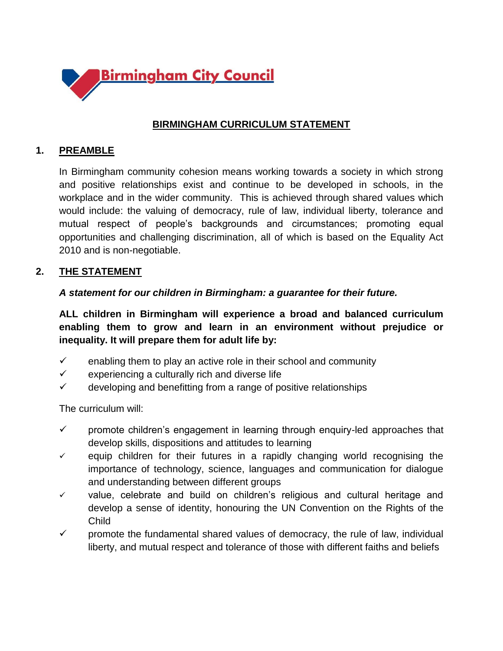

## **BIRMINGHAM CURRICULUM STATEMENT**

## **1. PREAMBLE**

In Birmingham community cohesion means working towards a society in which strong and positive relationships exist and continue to be developed in schools, in the workplace and in the wider community. This is achieved through shared values which would include: the valuing of democracy, rule of law, individual liberty, tolerance and mutual respect of people's backgrounds and circumstances; promoting equal opportunities and challenging discrimination, all of which is based on the Equality Act 2010 and is non-negotiable.

### **2. THE STATEMENT**

#### *A statement for our children in Birmingham: a guarantee for their future.*

**ALL children in Birmingham will experience a broad and balanced curriculum enabling them to grow and learn in an environment without prejudice or inequality. It will prepare them for adult life by:**

- $\checkmark$  enabling them to play an active role in their school and community
- $\checkmark$  experiencing a culturally rich and diverse life
- $\checkmark$  developing and benefitting from a range of positive relationships

The curriculum will:

- $\checkmark$  promote children's engagement in learning through enquiry-led approaches that develop skills, dispositions and attitudes to learning
- $\checkmark$  equip children for their futures in a rapidly changing world recognising the importance of technology, science, languages and communication for dialogue and understanding between different groups
- $\checkmark$  value, celebrate and build on children's religious and cultural heritage and develop a sense of identity, honouring the UN Convention on the Rights of the Child
- $\checkmark$  promote the fundamental shared values of democracy, the rule of law, individual liberty, and mutual respect and tolerance of those with different faiths and beliefs